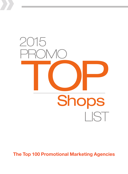

The Top 100 Promotional Marketing Agencies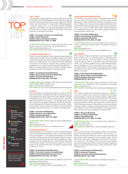#### THE A TEAM

This integrated marketing agency is rooted in sales promotion like its "Dine with a Top Chef Sweepstakes" for client Spectrum Naturals that built brand awareness and drove recipe usage of the brand's culinary oils. Then there's the "Ricola Call in Well Sweepstakes" —a play on calling in sick—via a Text2Win program. Staff gets trained by senior execs, who are also marketing faculty at Pace University and the Fashion Institute of Technology. A long-time supporter of the Dream Foundation.

#### CORE 1: Promotion Creative Concept/Design CORE 2: Retail Marketing CORE 3: Games, Sweeps & Contests REVENUE SPLIT: 97% B2C, 3% B2B

CLIENTS INCLUDE: Moet Hennessy USA, Wyndham Hotel Group, Ricola USA, Tesoro Corp., Hain Celestial Group WEB: www.theateamagency.com

RFP CONACT: Richard Krisburg, rkisburg@ateampromo.com

#### ACTIVENT MARKETING, LLC

Thanks to its sports expertise, Activent develops experiential event marketing for long-term clients such BBVA Compass and PUMA. It works with top sports broadcasting clients such as the Big Ten Network and NBC Sports. To promote the Big East Basketball Tournament on FOX Sports1, this Top Shop created a pop-up basketball court in Grand Central Terminal featuring Big East legends, autograph sessions and fan contests. On Fridays, clients are welcome to join in the agency's craft beer tastings.

#### CORE 1: Event/Experiential Marketing CORE 2: Sponsorship Activation/Marketing CORE 3: Promotional Marketing REVENUE SPLIT: 90% B2C, 10% B2B

CLIENTS INCLUDE: Kia Motors, FOX Sports, General Nutrition Centers (GNC), BBVA Compass, Visa WEB: www.activentmarketing.com

RFP CONTACT: Tom Jacobs, tjacobs@activentmarketing.com

#### ALCONE

Alcone embodies an entrepreneurial spirit, as seen by the Star Wars memorabilia cohabitating with Hello Kitty, passionate pingpong rivalries and intense "Game of Thrones" debates. This spirit permeates Alcone's 2014 PRO Award winning work, where they help clients eliminate "Action Gaps"—the resistance encountered when trying to turn shoppers into buyers. Whether it's driving loyalty and engagement for Bayer's Facebook community or repositioning Oberto snacks as America's PROtein, Alcone frames up strategies that excite consumers, shoppers and retailers alike.

#### CORE 1: Promotional Marketing CORE 2: Retail (in-store) Marketing CORE 3: Shopper Marketing REVENUE SPLIT: 90% B2C, 10% B2B

CLIENTS INCLUDE: Unilever, California Lottery, Nestlé/Dreyer's, Bayer, Arby's

WEB: www.alcone.com RFP CONTACT: Dory Ford, dory.ford@alcone.com

#### ALLIED EXPERIENTIAL

Following Allied's 2013 acquisition of Grand Central Marketing, newly formed Allied Experiential focuses on brand interpretation and social integration—so its clients' brands stand out. For New York Fashion Week, it produced "Recharge with Zappos" to showcase the brand and pamper attendees with massages and charging stations for their mobile devices. For Kia's sponsorship of the YouTube Music Awards, it transformed the stage into a YouTube screen and live streamed the event. The agency recently brought production in-house.

CORE 1: Event/Experiential Marketing CORE 2: Promotion Creative Concept/Design CORE 3: Partnership/Entertainment Tie Ins REVENUE SPLIT: 90% B2C, 10% B2B

CLIENTS INCLUDE: American Express, Celebrity Cruises, Moet, New Balance, Warner Bros. WEB: www.alliedexperiential.com RFP CONTACT: Matthew Glass, mglass@alliedim.com

#### ALLIED INTEGRATED MARKETING

們



This Top Shop, grounded in work for the entertainment industry, is on the move. It acquired another Top Shop, Grand Central Marketing to bolster experiential marketing. It finalized its acquisition of Allied Live to create a new live entertainment division that represents Broadway touring shows, retail centers and attractions. A pop-up tour for MTV Video Music Awards included a fully wrapped branded truck with a custom stage and delivered a sponsorship for Verizon Fios.

#### CORE 1: Promotional Marketing CORE 2: Event/Experiential Marketing CORE 3: Interactive Marketing REVENUE SPLIT: 95% B2C, 5% B2B

CLIENTS INCLUDE: Fox Home Entertainment, Paramount Pictures, Walt Disney Pictures, Mullen, The Venetian & Palazzo, Las Vegas

WEB: www.alliedim.com RFP CONTACT: Nick Thomas, nthomas@alliedim.com

#### ALL TERRAIN

After 15 years, All Terrain has hired its very first president. It then grew its staff by 20%, but still finds value in celebrating each employee's birthday. All Terrain helps its clients capture the moments that are ripe for amplification via social and digital media. This Top Shop created the first in-flight experiential marketing campaign for "The Cosmopolitan of Las Vegas" (2014 Honorable Mention PRO Award) by developing loyalty program incentives that were delivered during beverage service on United flights to Las Vegas.

CORE 1: Event/Experiential Marketing CORE 2: Sponsorship Activation/Marketing CORE 3: Strategic Experience Design REVENUE SPLIT: 100% B2C

CLIENTS INCLUDE: Illinois Lottery, Jack Morton, Mike's Hard Lemonade, E. & J. Gallo Winery, The Cosmopolitan of Las Vegas WEB: www.allterrain.net

RFP CONTACT: Paul Fitzpatrick, Paul.Fitzpatrick@allterrain.net



Arc's holistic shopper-based approach enables it to design for consumers' needs in every channel. Combined with its innovation forward strategy—it has its own interactive retail lab, digital interactive prototyping lab and retail store environment lab—Arc provides the formula for retail success. Pantene turned to Arc to reinvigorate its brand and Molson did the same to gain favor with NHL fans. Its Artist in Residence program creates unique connections between employees, clients, musicians, comedians and others. ARC Worldwide Chicago is the 2014 PRO Awards MVPro for the agencies with the most award-winning campaigns for multiple brands.

CORE 1: Shopper Marketing CORE 2: Promotional Marketing CORE 3: Retail Marketing REVENUE SPLIT: 97% B2C, 3% B2B

CLIENTS INCLUDE: Coca-Cola, McDonald's, MillerCoors, Procter & Gamble, Intel WEB: www.us.arcww.com

RFP CONTACT: Marie Roche, marie.roche@leoburnett.com

#### A2G

17

A2G has built one of the most engaged influencer communities around. Its social media command center—the "war room"—is decked out with giant screens to monitor real-time interactions about clients, their competitors and hot industry topics. To help GAP attract millennials, it established the brand as the "Sponsor of Summer"—the official T-shirt at summer music festivals along with strategic sponsorships and partnerships. Wrigley, the agency's Jack Russell Terrier mascot, often participates in client conference calls.

CORE 1: Event/Experiential Marketing CORE 2: Influencer Programs CORE 3: Promotion Planning/Development REVENUE SPLIT: 100% B2C

CLIENTS INCLUDE: Gap, Nintendo, Vera Bradley, Progressive, Old Navy WEB: www.A2G.LA RFP CONTACT: Rachel Shapiro, rachel@a2g.la

## Icon Key

Bulls Eye Specialties targeting African Americans. Hispanics or College **Students** 

LIST

2015

PROMO

**TOP** 

**Shops** 

Pro Award Winner Won a 2014 PRO Award



**WIN** Indie Independent shops

International Global reach

TOP SHOPS

**SHOPS**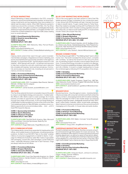#### ATTACK! MARKETING

Attack! Marketing is deeply embedded in the CPG, consumer electronics, alcohol and entertainment industries. Its recent technology investments and key leadership hires have enabled it to deliver real-time data to clients. When AMC Networks wanted to create buzz around the conclusion of Mad Men, this Top Shop created a 10-foot, 200-gallon countdown cocktail glass that slowly drained as it approached the premiere. Los Angeles and New York hosted the cocktail installations in high foot traffic areas creating buzz on social networks.

| <b>CORE 1: Event/Experiential Marketing</b> |
|---------------------------------------------|
| <b>CORE 2: Retail (in-store) Marketing</b>  |
| <b>CORE 3: Sampling</b>                     |
| <b>REVENUE SPLIT: 100% B2C</b>              |

CLIENTS INCLUDE: AMC Networks, Nike, Pernod-Ricard, BlackBerry, POPwater

WEB: www.attackmarketing.com

RFP CONTACT: Christian Jurinka, Christian@attackmarketing.com

#### **BDA**

Helping clients extend their reach through custom brandedmerchandise campaigns, integrated ecommerce marketing, and sports and entertainment sponsorship activation is this agency's specialty. For Super Bowl XLVIII—the first played outdoors in cold weather—BDA teamed with the NFL, its partners and sponsors to help fans combat the cold with customized warm welcome kits complete with beanies, hand warmers and gloves. Community service plays an important role, including an annual event in memory of a former employee.

#### CORE 1: Promotional Marketing CORE 2: Sports & Entertainment Marketing CORE 3: CPG & Shopper Marketing REVENUE SPLIT: 100% B2C

CLIENTS INCLUDE: AT&T, Constellation Beer Brands, Walmart, Michelin, All Major Sports Leagues WEB: www.bdainc.com

RFP CONTACT: James Szubski, jszubski@bdainc.com

#### **BECORE**

This Top Shop extends the brand conversation beyond the event by tying in social/digital strategy and execution. It added satellite offices to offer clients coast-to-coast coverage. Its in-house brewery provides an opportunity for staff to cultivate a brand through every stage of the process. A 250-foot barge floating off of Manhattan housed recreations of some of the most iconic New York skateboard parks for Nike SB Safari, providing a once-in-alifetime opportunity for pros and amateurs alike ... and ... a 2014 Gold PRO Award for Becore.

CORE 1: Sponsorship Activation CORE 2: Sports Marketing CORE 3: Influencer Programs REVENUE SPLIT: 100% B2C

CLIENTS INCLUDE: Red Bull North America, Nike, Microsoft (Xbox and Bing), Columbia Sportswear, Beats By Dre WEB: www.becore.com

RFP CONTACT: Roger Malinowsk, Roger@becore.com

#### BFG COMMUNICATIONS

This independently owned shop expanded its headquarters and offices, and it added dozens of employees, including several key positions. Its field of over 600 BFG "feet on the street" enables millions of consumer engagements on behalf of clients. A campaign for Whirlpool's EveryDrop water filter made a huge splash with packaging, a brand site, paid campaigns, social media and video—especially following a water ban in San Francisco. Dogs are always welcome at the offices.

CORE 1: Promotional Marketing CORE 2: Shopper Marketing CORE 3: Interactive Marketing REVENUE SPLIT: 83% B2C, 17% B2B

CLIENTS INCLUDE: Coca-Cola, Reynolds American, Inc. (Santa Fe Natural Tobacco, Camel), Snyder's-Lance, Whirlpool, U.S.A., Campari America WEB: www.bfgcom.com RFP CONTACT: Kevin Meany, kmeany@bfgcom.com

## 凹

#### BLUE CHIP MARKETING WORLDWIDE

This on-the-move agency has been named to Crain's Fast Fifty fastest growing Chicago companies for four consecutive years. A new venture with IRI Worldwide will help it harness the power of data to benefit clients. To gain market share for Fisher Nuts, Blue Chip created a campaign working with Food Network's Chef Alex Guarnaschelli, which included cooking vignettes and print and online ads, as well as social media and PR. In-house events include "Dress Like a Super Hero Day."

#### CORE 1: Other (Brand Marketing) CORE 2: Shopper Marketing CORE 3: Promotion Planning/Development REVENUE SPLIT: 90% B2C, 10% B2B

CLIENTS INCLUDE: Procter & Gamble, John B. Sanfilippo & Son, Inc. (Fisher nuts), Ricola, Celestial Seasonings, Paris Presents Inc. (EcoTools, Real Techniques and Body Benefits beauty brands) WEB: www.bluechipww.com

RFP CONTACT: Larry Deutsch, ldeutsch@bluechipww.com

#### BRAND CONNECTIONS

This Top Shop brought AMC's "The Walking Dead" back to life at Comic-Con. The booth recreated the show's prison, complete with "zombies," as well as the Governor's Den set up for photo ops. Its sampling program includes a venue-based network and tours. To ensure technology innovation is central to its offerings, Brand Connections established strategic relationships with eCRM and Life in Mobile. It moved to a larger headquarters to house the combined agency following 2012's acquisition of two shops.

#### CORE 1: Sampling CORE 2: Event/Experiential Marketing CORE 3: Promotional Marketing REVENUE SPLIT: 85% B2C, 15% B2B

CLIENTS INCLUDE: Yoplait, Progresso, Target Corp., A&E Tele-vision Networks, Dunkin' Donuts, Colgate-Palmolive (Irish-Spring) WEB: www.brandconnections.com

RFP CONTACT: Janell Goldbloom, jgoldbloom@brandconnections.com

#### **BRANDFORCE**

凹

Brands have force—thus this agency's name—brands entertain, influence and play with consumer's emotions and that's where this agency comes in, empowering brands with innovative marketing. Take the campaign for AT&T's new mobile version of a personal emergency response system, strategically named EverThere. DRVT spots, online media, a website, videos, social media, packaging, direct mail and consumer promotions put the surround sound of messaging out to the public. In-house video and audio studios.

#### CORE 1: Promotional Marketing CORE 2: Retail (in-store) Marketing CORE 3: Event/Experiential Marketing REVENUE SPLIT: 100% B2C

CLIENTS INCLUDE: AT&T, Belkin, Comcast, Turner Broadcasting, Gilead WEB: www.brand-force.com

RFP CONACT: Doug Litwin, doug@brand-force.com

### CARDENAS MARKETING NETWORK

Rooted in entertainment and sports, this shop connects consumers and brands through their passion for music and soccer. The agency doubled its office space to house its growing touring and booking department, as well as its newly formed sports department. For Bud Light, Food Network's Chef Aaron Sanchez brought social tailgating to a new level and the winner of the best "Bud Light Carne Asada" had a chance at a trip to Super Bowl XLVIII.

CORE 1: Event/Experiential Marketing CORE 2: Sampling CORE 3: Sponsorship Activation/Marketing REVENUE SPLIT: 100% B2C

CLIENTS INCLUDE: Anheuser-Busch, Johnson & Johnson, Diageo, Wrigley, Sherwin-Williams WEB: www.CMNEvents.com RFP CONTACT: Elena Sotomayor, elena@cmnevents.com



## Icon Key

Bulls Eye Specialties targeting African Americans, Hispanics or College **Students** 

Pro Award Winner Won a 2014 PRO Award

**New Kids** New to the list this year

們

**AUN** Indie Independent shops

International Global reach

Read all about one of this agency's killer promotions by turning to the page number in the red flag.

TOP SHOPS

TOP SHOPS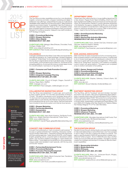LIST 2015 **TOP** PROMO **Shops** 

#### **CATAPULT**

This Top Shop provides capabilities across four core disciplines: insights, consumer promotion, shopper marketing and digital. It added two new offerings: CatapultVista focuses on multicultural capabilities while Catapult eCommerce (formerly E-Tailing Solutions) supports ecommerce needs. To reestablish Capri Sun's relevance with kids, Catapult created the "Kids vs. Pros" competition where kids competed against professional athletes in their schoolyards. Recipient of numerous awards, Catapult's new staff includes an EVP Strategy & Insights.

CORE 1: Promotional Marketing CORE 2: Shopper Marketing CORE 3: Other (Digital) REVENUE SPLIT: 100% B2C

CLIENTS INCLUDE: Kellogg's, Mars (Petcare, Chocolate, Food), ConAgra, Wrigley, Kraft WEB: www.catapultmarketing.com

RFP CONTACT: Peter Cloutier, pcloutier@catapultmarketing.com

#### COLANGELO

Colangelo established its first West Coast office and expanded its international operations. Its "Unfair Advantage" mindset is designed to create an "Unfair Share" for its clients. A point of pride: Many of this Top Shop's original clients remain loyal clients today. It manages communities, communications and content for 19 brands across six leading platforms. An annual chili cookout contest raises money for a local foodbank. Guinness is on tap after 5pm.

CORE 1: Consumer and Trade Promotion Concept/ Design CORE 2: Shopper Marketing

CORE 3: Integrated Campaign Planning REVENUE SPLIT: 80%B2C, 20% B2B

CLIENTS INCLUDE: Church & Dwight, Diageo, Davidoff of Geneva, Filippo Berio, WellPet WEB: Colangelo-sm.com

RFP CONTACT: Rob Colangelo, rob@colangelo-sm.com

#### COLLABORATIVE MARKETING GROUP

This Top Shop was established 14 years ago, and continues to enjoy organic growth. For Ore-Ida's sponsorship of Disney's "Frozen," the agency developed a print campaign along with a 15-city truck tour at grocery stores and a Twitter party. It set up a satellite office to work directly with Walmart during the promotion and is evaluating that set-up for other clients. Internal investments have included a new phone system and internal cloud servers.

CLIENTS INCLUDE: Heinz North America, Del Monte Foods, MillerCoors, Weight Watchers International, Foster Farms

RFP CONTACT: Garrett Plepel, gplepel@collaborativemktg.com

## Icon Key

Bulls Eye Specialties targeting African Americans, Hispanics or College **Students** 

Pro Award Winner Won a 2014 PRO Award

New Kids New to the list this year

**WIN** Indie Independent shops

International Global reach

TOP SHOPS

**SHOPS** 

Read all about one of this agency's killer promotions by turning to the page number in the red flag.

## CONCEPT ONE COMMUNICATIONS

CORE 1: Shopper Marketing CORE 2: Partnership Marketing CORE 3: Sweepstakes REVENUE SPLIT: 100% B2C

WEB: www.collabmktg.com

Concept One's philosophy is "well-conceived is well-received." It focuses on global entertainment marketing, interactive marketing and nimble collaboration—frequently working with big brands and their existing agencies. Cable network NUVOtv, which targets English-speaking Latinos, acquired rights to Showtime's series Dexter. This Top Shop created a campaign to "Catch Dexter and Make a Killing." Using digital and social efforts to drive awareness, unique codes were revealed in each episode, with the top prize a \$100,000 "reward."

CORE 1: Partnership/Entertainment Tie Ins CORE 2: Promotional Marketing CORE 3: Promotion Planning/Development REVENUE SPLIT: 90% B2C, 10% B2B

CLIENTS INCLUDE: Gillette, Merck Consumer Care, Transitions Optical, NUVOtv, Hamilton Watch WEB: www.conceptone.com RFP CONTACT: John Kocis, jkocis@conceptone.com

#### DEPARTMENT ZERO

Department Zero relaunched its in-house staffing department as a new division, Pepper Event Talent & Staffing, which has more than doubled event staffing volume and revenue over the past year. When Zip Superstarters needed to quickly generate awareness of its firestarter, the agency created the Zip Scouts, an all-female team who traveled in a branded SUV, visiting sports and outdoor events to distribute samples and coupons. Beer is served every Friday—head to the roof during summertime.

ģiņ

CORE 1: Event/Experiential Marketing CORE 2: Sampling CORE 3: Sponsorship Activation/Marketing REVENUE SPLIT: 96% B2C, 4% B2B

CLIENTS INCLUDE: Scion, Dentek Oral Care, American Laser Skincare, Saatchi & Saatchi, Barkley WEB: www.departmentzero.com

RFP CONTACT: Paul Soseman, paul.soseman@deptzero.com

#### DON JAGODA ASSOCIATES

With more than 50 years of experience DJA is not slowing down. With increased interest in international promotions, it added staff to its in-house travel agency and developed a network of local attorneys to assist with local review and registration. When Lay's rolled out its "Swag Race" promotion, DJA created a completely custom instant-win game platform. The agency just completed a top-to-bottom renovation of its building.

CORE 1: Games, Sweeps and Contests CORE 2: Promotional Marketing CORE 3: International/Global Marketing REVENUE SPLIT: 88% B2C, 12% B2B

CLIENTS INCLUDE: Staples, Safeway, Citizen's Bank, GE Capital, Marriott WEB: www.dja.com RFP CONTACT: Bruce Hollander, bhollander@dja.com

#### EASTWEST MARKETING GROUP

This Top Shop, with its "boutique" size and mindset, has been around for over 30 years, with many longstanding client relationships. It recently hired a new CEO and relocated to NYC's Fashion District. Eastwest helped TEAS' TEA evolve from a niche product in specialty stores into a mainstream beverage through the use of social media, sweepstakes, packaging and retail displays. EW won OMA's 2014 Display of the Year Award for its "Nabisco Makes the Holidays Magical" P-O-P for client Mondelez.

CORE 1: Promotional Marketing CORE 2: Shopper Marketing CORE 3: Influencer Programs REVENUE SPLIT: 86% B2C, 14% B2B

CLIENTS INCLUDE: Mondelez International, Kraft Foods, Post Foods, Pinnacle Foods, RB (Reckitt Benckiser) WEB: www.eastwestmg.com RFP CONTACT: Lou Ramery, Iramery@eastwestmg.com

#### THE ELEVATION GROUP

Elevation knows the auto racing industry and uses that knowledge to help build relationships on and off the track. Don't be surprised to spot a client in the pits or behind the wheel of a racecar. This agency used Budweiser's NASCAR sponsorship to design a promotional Twitter program. And on NASCAR race days, another Twitter account provides real-time updates. The agency recently created two strategic partnerships to increase its data and dashboard capabilities.

CORE 1: Sponsorship Activation CORE 2: Mobile Marketing CORE 3: PR Events REVENUE SPLIT: 80% B2C, 20% B2B

CLIENTS INCLUDE: Mars, Inc., Anheuser-Busch, Wrigley, The Cleveland Clinic, Roxy by Quiksilver WEB: www.elevationgroup.com RFP CONTACT: Jessica Brown, jbrown@elevationgroup.com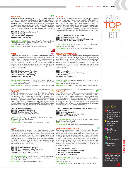#### WWW.CHIEFMARKETER.COM »WINTER 2015»

#### ESCALATE

This independent, employee-owned Top Shop fuses experiential with word of mouth to generate buzz for its clients. It opened a new headquarters in NYC's Financial District after Hurricane Sandy, and relaunched its website. Staff has grown for six straight years to support new and existing clients. An immersive "Italian coffee on the go" experience for illy issimo included a mobile coffee bar, music and baristas, with participants telling an average 2.5 friends.

| <b>CORE 1: Event/Experiential Marketing</b> |
|---------------------------------------------|
| <b>CORE 2: Sampling</b>                     |
| <b>CORE 3: Influencer Programs</b>          |
| <b>REVENUE SPLIT: 100% B2C</b>              |

CLIENTS INCLUDE: Coca-Cola, Stonefire Bakeries, Truth Campaign (American Legacy Foundation), Birds Eye, Barilla WEB: www.escalatenow.com

RFP CONTACT: Justin Wilk, jwilk@escalatenow.com

#### FAME

Part of the TBWA Network, FAME continues to refine customer measurement methodology for tracking retail environmental design and its impact on consumer satisfaction and brand perception. It partners with augmented reality developer DAQRI, to leverage 4D technology and computer vision science for its clients. FAME'S fresh, bright-blue scenes featuring pin-up girls and playful uses of Kinky Liqueur, helped promote the new blue, tropical berry flavor of the beverage.

CORE 1: Retail (in-store) Marketing CORE 2: Creative Concept/Design CORE 3: Promotional Marketing REVENUE SPLIT: 100% B2C

CLIENTS INCLUDE: Time Warner Cable, Best Buy, MyBurger, Johnson Brothers Liquor Co., St. Jude Children's Research Hospital WEB: www.fameretail.com

RFP CONTACT: Amy Kromminga, akromminga@fameretail.com

#### FCB/RED

IIn 2014, Draftfcb changed its name to FBC/RED to emphasize its core expertise in retail, relationship, engagement and digital marketing. It moved to new space on Chicago's Magnificent Mile, complete with an in-house production studio and an activation lab called ShopSpace. All drinks at the coffee bar cost \$1, with all profits (\$60,00 in 2013) benefiting a local charity. Valspar's "Love your Color Guarantee" campaign included TV spots featuring two chameleons (Jon and Val), print, digital, in-store and social media.

#### CORE 1: Shopper Marketing CORE 2: Promotional Marketing CORE 3: Retail (in-store) Marketing REVENUE SPLIT: 80% B2C, 20% B2B

CLIENTS INCLUDE: Coca-Cola, Brown–Forman, Sony, Ghirardelli, Big Heart Pet Brands WEB: www.fcb.com

RFP CONTACT: Tina Manikas, Tina.Manikas@FCB.com

#### **FCBX**

FCBX pinpoints the sweet spot-that magic intersection where online meets offline to create sharable engagements that keep living on social long after an event has ended. Its expertise to build mobile and digital sharing elements into every program has been bolstered with a Lead Creative Technologist. Established a content development team to help clients become content publishers. Put a "Pedal Pub" on the Austin, TX, streets around SXSW to move attendees and promote Miami as a happening destination with free sunglasses and ice-cold water.

#### CORE 1: Event/Experiential Marketing CORE 2: Sponsorship Activation/Marketing CORE 3: CPG and Trade Promotions REVENUE SPLIT: 90% B2C, 10% B2B

CLIENTS INCLUDE: National Restaurant Association, Boeing, CenturyLink, Big Heard Brands, Miami Board of Tourism WEB: www.fcb-x.com RFP CONACT: Dee Hall, dee.hall@fcb-x.com

### **FLUENT**

빤

18

With a specialty in translating brands for the college world—both on- and off-campus—its work for the launch of Microsoft Win-dows 8 was impressive. A 32-week immersive on-campus program put 754 brand reps on 450+ campuses to interact with students, distribute collateral, offer incentives and drive grassroots and social marketing initiatives. Students participated in 1 million trials of Windows 8. Fluent's affiliation with the National Association for Campus Activities gives it access to nearly 1,000 colleges and universities.

CORE 1: Event/Experiential Marketing CORE 2: Influencer Programs CORE 3: Insights in College Millennial Consumers REVENUE SPLIT: 90% B2C, 10% B2B

CLIENTS INCLUDE: Microsoft, Macy's Keurig, Zipcar, Kellogg's WEB: www.fluentgrp.com

RFP CONACT: Mark Giovino, markg@fluentgrp.com

#### FORMULA STREET, INC.

Formula Street focuses on activation staffing and consumer engagement. For Nestlé, this agency capitalized on the crowds assembled the night before the Rose Parade to offer samples of warm coffee and hot chocolate. Brand ambassadors distributed 900 beverages plus thousands of coupons and dry samples. The agency hosts a weekly beer event and a fun committee plans events to break up the work week. A new website is due to launch later this summer.

CORE 1: Sampling CORE 2: Event/Experiential Marketing CORE 3: Staffing REVENUE SPLIT: 100% B2C

CLIENTS INCLUDE: Heineken USA, Nestlé, FOX Hispanic Media, Popcorn, Indiana, neuro drinks WEB: www.formulastreetinc.com

RFP CONTACT: Adrienne Cadena, cadena@formulastreetinc.com

#### FUSE, LLC

Fuse helps clients market to teens and young adults through sports, music, fashion and gaming. To create awareness of Amazon Student and its textbook rentals and buy back programs, Fuse developed a social media strategy that included weekly custom content on Facebook, Instagram and Twitter. The recipient of numerous industry awards, Fuse has also repeatedly been named Best Place to Work, which can be seen by its employee volunteer policy and dog-friendly office space.

CORE 1: Youth Marketing (please consider adding this as it is our specialty) CORE 2: Sports Marketing CORE 3: Event/Experiential Marketing REVENUE SPLIT: 100% B2C

**CLIENTS INCLUDE:** Pepsi, Amazon, Kraft, Dick's Sporting Goods, Constellation Brands WEB: www.fusemarketing.com RFP CONTACT: Bill Carter, bcarter@fusemarketing.com

#### GAGE MARKETING GROUP

Gage restructured its creative department, now called Customer Experience Design, combining user experience, visual and content design specialists to reflect the broader array of services required to address customer's experience with a brand. It's Smart Data offering "stitches" unstructured social data with structured data so clients learn valuable info on audiences to drive successful marketing campaigns.Combined disparate marketing programs for Microsoft in Australia under one banner and web portal with a points based loyalty offering that is showing a significant revenue lift among members.

CORE 1: Interactive Marketing CORE 2: Loyalty/Retention Marketing CORE 3: Promotional Marketing REVENUE SPLIT: 100% B2C

CLIENTS INCLUDE: Microsoft, 3M, Thomson Reuters, Coca-Cola, Walmart WEB: www.gage.com

RFP CONTACT: Karen Schultz, Karen\_schultz@gage.com



Bulls Eye Specialties targeting African Americans, Hispanics or College **Students** 

Pro Award Winner Won a 2014 PRO Award

New Kids New to the list this year

**AUN** Indie Independent shops

International Global reach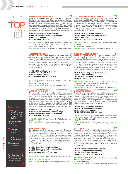#### GENERATION Z MARKETING

Generation Z Marketing helps clients engage and connect with families in their local communities. It pioneered the "Nationalto-Local" youth sports sponsorship model. Chevrolet wanted to demonstrate its commitment to its new soccer partnerships through a grassroots youth soccer initiative. GZM aligned 300 Chevrolet dealers with a local youth soccer organization to provide sponsorships via monetary donations or branded equipment, and coordinated instructional clinics with professional soccer teams.

| <b>CORE 1: Event/Experiential Marketing</b>     |
|-------------------------------------------------|
| <b>CORE 2: Sponsorship Activation/Marketing</b> |
| <b>CORE 3: Sports Marketing</b>                 |
| <b>REVENUE SPLIT: 100% B2C</b>                  |

CLIENTS INCLUDE: Jack Morton Worldwide, SportsNet New York, Immediate Consumption, Major League Soccer WEB: www.genzmarketing.com

RFP CONTACT: Marc Zwerdling, marc@genzmarketing.com

#### GEOMETRY GLOBAL

Precision Activation, or connecting people with brands at precisely the right times, is Geometry's working mantra like the Dos Equis' "Most Interesting Masquerade" promo. The program highlighted six Halloween personas via on- and off-premise, experiential events and digital engagements to exceed growth goals. Carl Hartman, one of parent WPP's top shopper marketing experts, was named CEO of Geometry Global North America. Now 1,000+ employees strong!

CORE 1: CPG and Trade Promotions CORE 2: Interactive Marketing CORE 3: Shopper Marketing REVENUE SPLIT: 98% B2C, 2% B2B

CLIENTS INCLUDE: Unilever, SC Johnson, Kimberly-Clark, Heineken, Nestlé WEB: www.geometry .com

RFP CONTACT: Alice Ryan, alice.ryan@geometry.com

#### GEORGE P. JOHNSON

Now celebrating its 100th year, this hard working group creates impressive live and digital engagements like helping automakers launch cars as a lifestyle extensions and technology companies integrate into consumers' daily lives. Its accomplished strategists put the focus on ROI. Offers a portfolio of complementary cloud-based apps for clients to choose from. Refined core leadership team, including the appointment of Chris Meyer as CEO and Denise Wong as president. Ran a killer takeover of Grand Central Terminal for Under Armour that clocked 700,000 visitors.

## Icon Key

Bulls Eye Specialties targeting African Americans, Hispanics or College **Students** 

LIST

2015

PROMO

**TOP** 

**Shops** 



New Kids New to the list

this year

Indie Independent shops

International Global reach

TOP SHOPS

OP SHOPS

Read all about one of this agency's killer promotions by turning to the page number in the red flag.

#### CORE 1: Event/Experiential Marketing CORE 2: Promotion Creative Concept/Design CORE 3: Sponsorship Activation/Marketing REVENUE SPLIT: 100% B2C

CLIENTS INCLUDE: Under Armour, IBM, P&G, Toyota, Cisco WEB: www.gpj.com

RFP CONTACT: Brad Bryen, brad.bryen@gpj.com

#### GMR MARKETING

During the past year, GMR integrated operations with SportsMark Management Group. It also added a new division called Global Sports and Entertainment Consulting. For Esurance's sponsorship of SXSW, this Top Shop developed a program to help attendees sort through the information and offer prizes, access to VIP events and a relaxation lounge. Esurance registered over 10,000 attendees and averaged over 2,300 engagements per day. GMR staff participates in ugly sweater contests, food drives and numerous charity events.

CORE 1: Event/Experiential Marketing CORE 2: Sponsorship Activation/Marketing CORE 3: Sports Marketing REVENUE SPLIT: 80% B2C, 20% B2B

CLIENTS INCLUDE: Lowe's, Microsoft, Humana, Comcast, esurance WEB: www.gmrmarketing.com

RFP CONTACT: Steve Dupee, sdupee@gmrmarketing.com

#### GOLDNFISH MARKETING GROUP

凹

GoldnFish expanded its offerings to include PR and brand integration as well as SEO/SEM. It added staff with backgrounds in spirits, retail and fashion to round out its teams. The "Boost Mobile Is Makin It Rain This Tax Season" campaign to entice consumers to spend their refunds with Boost included street teams, glass trucks and money machines. One of this Top Shop's floors was converted to a lounge-type workspace, which is often frequented by dog Bomber, GNF's mascot.

an

CORE 1: Event/Experiential Marketing CORE 2: Sponsorship Activation/Marketing CORE 3: Sampling REVENUE SPLIT: 85% B2C, 15% B2B

CLIENTS INCLUDE: Sprint, Mondelez, Proximo, Play Power, Just Born

WEB: www.gnfmarketing.com RFP CONTACT: Caren Berlin, cberlin@gnfmarketing.com

#### GOOD SOLUTIONS GROUP

This boutique agency, new to Top Shops, has expanded its work with 20 state park agencies to include AOR for Chicago, Los Angeles and San Diego city parks. It added capabilities in youth sports and invested in significant research to understand the youth sports sponsorship biz environs. An integrated campaign for Nesquik sends the message that the beverage is a smarter choice for recovery after sports via partnerships, digital, social, retail events, P-O-P, packaging, PR, sampling, email, a consumer contest, experiential activations and content marketing. We'd say that covers it!

CORE 1: Sponsorship Activation/Marketing CORE 2: Cause Marketing CORE 3: Event/Experiential Marketing REVENUE SPLIT: 100% B2C

CLIENTS INCLUDE: Nestlé Nesquik, The North Face, GEICO, United States Tennis Association, Tommy Bahama WEB: www.goodsolutionsgroup.com RFP CONTACT: Chris Boyer, cboyer@goodsolutionsgroup.com

#### GROW MARKETING



CORE 1: Event/Experiential Marketing CORE 2: Loyalty/Retention Marketing CORE 3: Influencer Programs REVENUE SPLIT: 85% B2C, 15% B2B

CLIENTS INCLUDE: Google, Pernod Ricard (The Glenlivet, Perrier Jouët, Malibu Island Spiced, G.H. Mumm, Aberlour), Theranos, Inc., University of California, GE WEB: www.grow-marketing.com

RFP CONTACT: Tami Anderson, newbusiness@grow-marketing.com

#### **HELLOWORLD**

ŗψ

Formerly known as ePrize, HelloWorld works to change the way brands interact with consumers through its rich engagement platforms that touch consumers at home, on the go, in-store and at live events around the globe. In-depth social analytics and consumer behavior metrics follow. Helped launched Bagger Dave's Burger Tavern loyalty program with a mobile app sweeps that encouraged check-ins, game play, reviews, surveys and viral share. It's corporate band, Toybox—named after its promotion platform was a finalist in Fortune Mag's Battle of the Corporate Bands in 2014 and 2013.

CORE 1: Games, Sweepstakes & Contests CORE 2: Loyalty/Retention Marketing CORE 3: Interactive Marketing REVENUE SPLIT: 70% B2C, 30% B2B

CLIENTS INCLUDE: The Coca-Cola Co., Nestlé Prepared Foods, Microsoft, Sinclair, Gap WEB: www.helloworld.com RFP CONTACT: Janice Pollard, janice.pollard@helloworld.com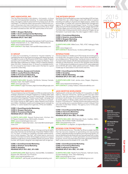### WWW.CHIEFMARKETER.COM »WINTER 2015»

| <b>HMT ASSOCIATES, INC.</b><br>This Top Shop launched a new division-hmt events-to focus<br>on events and experiential marketing. To create lasting relation-<br>ships, the agency adds its personal hmt humantouch to all of its<br>campaigns. To maximize Jeep's sponsorship of Red Rocks con-<br>certs, consumers who took a test drive in a new Jeep received<br>two tickets to a Counting Crows performance at the venue. Deal-<br>ers were motivated as well, with VIP opportunities at the event.<br><b>CORE 1: Shopper Marketing</b><br><b>CORE 1: Event and Experiential Marketing</b><br><b>CORE 1: Promotion Planning and Development</b><br><b>REVENUE SPLIT: 100% B2C</b><br><b>CLIENTS INCLUDE:</b> Mondelez International, Kraft Foods Group,<br>Parker Entertainment, E. & J. Gallo Winery, Hillshire Brands<br><b>WEB:</b> www.hmtassociates.com<br><b>RFP CONTACT:</b> Ken Nash, Kennash@hmtassociates.com | THE INTEGER GROUP<br>Red Robin Gourmet Burgers is a new merchandising AOR win here.<br>The Retail Arts Lab, where Integer works with clients to explore<br>branding and selling in physical and digital spaces, added new<br>technologies. A merger with customer relationship management<br>agency /XL in France formed Integer France. To drive Pringles<br>sales during the NCAA basketball tournament, Integer aligned with<br>YouTube celebs and trick shot artists, Dude Perfect, to create a<br>YouTube video of ping pong trick shots using the Pringles can as<br>the basket. In just seven days, the video logged 2 million+ views.<br><b>CORE 1: Promotional Marketing</b><br><b>CORE 2: Retail (in-store) Marketing</b><br><b>CORE 3: Shopper Marketing</b><br>REVENUE SPLIT: 100% B2C<br><b>CLIENTS INCLUDE:</b> MillerCoors, P&G, AT&T, Kellogg's Pella<br>Corp.<br><b>WEB:</b> www.integer.com<br>RFP CONTACT: Nicole Souza, nicolesouza@integer.com |                                                                                                               |
|------------------------------------------------------------------------------------------------------------------------------------------------------------------------------------------------------------------------------------------------------------------------------------------------------------------------------------------------------------------------------------------------------------------------------------------------------------------------------------------------------------------------------------------------------------------------------------------------------------------------------------------------------------------------------------------------------------------------------------------------------------------------------------------------------------------------------------------------------------------------------------------------------------------------------|---------------------------------------------------------------------------------------------------------------------------------------------------------------------------------------------------------------------------------------------------------------------------------------------------------------------------------------------------------------------------------------------------------------------------------------------------------------------------------------------------------------------------------------------------------------------------------------------------------------------------------------------------------------------------------------------------------------------------------------------------------------------------------------------------------------------------------------------------------------------------------------------------------------------------------------------------------------------|---------------------------------------------------------------------------------------------------------------|
| <b>IC GROUP</b><br>In case you're wondering, IC stands for "insured creativity," or<br>managing the risk for big impact promotions with large prize pools.<br>The agency's work on the Prevacid 24HR Perks Loyalty Program<br>earned it a 2014 Gold PRO Award. A sweeps for Kleenex, mod-<br>eled after March Madness for weekly voting on Kleenex designs,<br>drew 250,000+ Facebook fans. IC Group is a charitable bunch.<br>It's not unusual for top brass to take a pie in the face for a good<br>cause like United Way.<br><b>CORE 1: Games, Sweeps and Contests</b>                                                                                                                                                                                                                                                                                                                                                    | <b>INTERACTIONS</b><br>The focus here is on retailers and CPG brands around the globe.<br>For Ahold USA, the parent of Giant, Stop & Shop and Martin's, it<br>ran a holiday promo "Simply Enjoy" during six hours on one day in<br>four East Coast markets with 80 brand ambassadors and branded<br>vehicles at mall entrances. Some 50,000 samples were handed<br>out, 12,000 product booklets and coupons (20% were redeemed)<br>and 4,000 \$5 gift cards. Sales spiked post event. Rolled a field<br>mobile app for associates to track events real time.<br><b>CORE 1: Event/Experiential Marketing</b>                                                                                                                                                                                                                                                                                                                                                         |                                                                                                               |
| <b>CORE 2: Loyalty/Retention Marketing</b><br><b>CORE 3: Promotional Marketing</b><br><b>REVENUE SPLIT: 95% B2C, 5% B2B</b>                                                                                                                                                                                                                                                                                                                                                                                                                                                                                                                                                                                                                                                                                                                                                                                                  | <b>CORE 2: Sampling</b><br><b>CORE 3: Mobile Marketing</b><br><b>REVENUE SPLIT: 90% B2C, 10% B2B</b>                                                                                                                                                                                                                                                                                                                                                                                                                                                                                                                                                                                                                                                                                                                                                                                                                                                                |                                                                                                               |
| <b>CLIENTS INCLUDE:</b> Novartis, Del Monte, Subway Canada,<br>Kimberly-Clark, Vita Health Canada<br><b>WEB:</b> www.icgrouplp.com<br>RFP CONACT: Leigh Thornberry, leigh.thornberry@icgrouplp.com                                                                                                                                                                                                                                                                                                                                                                                                                                                                                                                                                                                                                                                                                                                           | <b>CLIENTS INCLUDE:</b> Kraft, Jamba Juice, Diageo, Wegmans,<br>Meijer<br>WEB: www.interactionsmarketing.com<br>RFP CONTACT: Lindsay Holland, interactions@n6a.com                                                                                                                                                                                                                                                                                                                                                                                                                                                                                                                                                                                                                                                                                                                                                                                                  |                                                                                                               |
| <b>IN MARKETING SERVICES</b><br>The purchase journey is in this agency's DNA as evidenced by the<br>strategic placement of People magazine in multiple aisles right<br>next to popular brands "she" buys to close the sale. That was just<br>one piece of the integrated "People Loves People" campaign that<br>increased sales and market share. This Top Shop is in acquisi-<br>tion mode, buying up AMP Agency, Mass Hispanic and Eventus<br>and 206inc. Bolstered creative and strategic bench strength by<br>adding 12+ senior leaders from agencies, CPGs and retailers.<br><b>CORE 1: Event/Experiential Marketing</b>                                                                                                                                                                                                                                                                                                | <b>JACK MORTON WORLDWIDE</b><br>Digital growth continues with the May 2014 acquisition of digital<br>agency, Genuine Interactive. Global growth has also been<br>a priority with the opening of offices in Dusseldorf, Germany<br>and Seoul, South Korea. An exclusive partnership with Mark Up,<br>an events agency in Brazil, marks Jack's first footprint in South<br>America. Promotions for T-Mobile transformed press events into<br>roof-top parties and a surprise Shakira concert in Bryant Park<br>attracted 10,000 New Yorkers. The agency turns 75 this year.<br>Happy birthday!                                                                                                                                                                                                                                                                                                                                                                        | lcon Key                                                                                                      |
| <b>CORE 2: Shopper Marketing</b><br><b>CORE 3: Promotional Marketing</b><br><b>REVENUE SPLIT: 100% B2C</b>                                                                                                                                                                                                                                                                                                                                                                                                                                                                                                                                                                                                                                                                                                                                                                                                                   | <b>CORE 1: Event/Experiential Marketing</b><br><b>CORE 2: Interactive Marketing</b><br><b>CORE 3: Influencer Programs</b><br><b>REVENUE SPLIT: 90% B2C, 10% B2B</b>                                                                                                                                                                                                                                                                                                                                                                                                                                                                                                                                                                                                                                                                                                                                                                                                 | <b>Bulls Eve</b><br>Specialties targeting<br>African Americans.                                               |
| <b>CLIENTS INCLUDE:</b> Newell Rubbermaid, Kitchen Aid,<br>Dr Pepper Snapple Group, McDonald's, Amazon<br><b>WEB:</b> www.inmarketingservices.com<br>RFP CONACT: Valerie Bernstein, vbernstein@inmarketingser-<br>vices.com                                                                                                                                                                                                                                                                                                                                                                                                                                                                                                                                                                                                                                                                                                  | <b>CLIENTS INCLUDE:</b> GM (Chevrolet, Buick, Cadillac, GMC),<br>Subway, Dell, Emblem Health, Budweiser<br><b>WEB:</b> www.jackmorton.com<br>RFP CONTACT: Liz Bigham, liz.bigham@jackmorton.com                                                                                                                                                                                                                                                                                                                                                                                                                                                                                                                                                                                                                                                                                                                                                                     | <b>Hispanics or College</b><br><b>Students</b><br><b>Pro Award Winner</b><br>Won a 2014<br>PRO Award          |
| 빤<br>INSPIRA MARKETING<br>This top indie shop opened an office in Chicago and has its sights<br>set on San Francisco for its third locale. It launched "Relief in Action<br>2.0" for Advil, a mobile tour targeting volunteer-based events,<br>and a GoGo squeeze "Play Day" with street teams, premiums<br>and pay-it-forward moments. But its bigger purpose is to support<br>initiatives to help find a cure for pediatric spinal cord cancer, which<br>founder Jeff Snyder's daughter was diagnosed with at age two.                                                                                                                                                                                                                                                                                                                                                                                                     | <b>KICKING COW PROMOTIONS</b><br>Don't let the name fool you. This indie Top Shop is a sleek machine<br>that has become masterful at generating and repurposing<br>content, extending the life of programs and improving results. It's<br>tops at identifying social influencers and has partnered with a video<br>production company for content generation around experiential<br>programs. Some of its best ideas have been generated while the<br>team cycles around the streets of St. Louis, MO.                                                                                                                                                                                                                                                                                                                                                                                                                                                              | New Kids<br>New to the list<br>this year<br>Щ<br>Indie<br>Independent shops                                   |
| <b>CORE 1: Event/Experiential Marketing</b><br><b>CORE 2: Retail (in-store) Marketing</b><br><b>CORE 3: Sampling</b><br><b>REVENUE SPLIT: 65% B2C, 35% B2B</b>                                                                                                                                                                                                                                                                                                                                                                                                                                                                                                                                                                                                                                                                                                                                                               | <b>CORE 1: Event/Experiential Marketing</b><br><b>CORE 2: Promotional Marketing</b><br><b>CORE 3: Influencer Programs</b><br><b>REVENUE SPLIT: 85% B2C, 15% B2B</b>                                                                                                                                                                                                                                                                                                                                                                                                                                                                                                                                                                                                                                                                                                                                                                                                 | Œ<br>International<br>Global reach                                                                            |
| <b>CLIENTS INCLUDE:</b> Beam Suntory, General Mills, Constellation<br>Brands USA, Microsoft, Sun Products<br><b>WEB:</b> www.inspiramarketing.com<br><b>RFP CONTACT:</b> Jeff Snyder, jsnyder@inspiramarketing.com                                                                                                                                                                                                                                                                                                                                                                                                                                                                                                                                                                                                                                                                                                           | <b>CLIENTS INCLUDE:</b> Nestlé Purina Petcare, Hallmark Cards,<br>Sunrise Greetings, Torre, Olson Marketing<br><b>WEB:</b> www.kickingcow.com<br><b>RFP CONTACT:</b> Cindy Hagel, cindyh@kickingcow.com                                                                                                                                                                                                                                                                                                                                                                                                                                                                                                                                                                                                                                                                                                                                                             | Read all about one of this<br>agency's killer promotions<br>by turning to the page<br>number in the red flag. |

-<br>19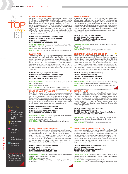# LIST 2015 **TOP** PROMO **Shops**

#### LAGARD´ERE UNLIMITED

Lagardère Unlimited purchased Haymaker to bolster consulting division. Acquired Jeff Sanders Promotions to round out its global golf division by adding event-management capabilities. Also acquired Crown Sports, and signed a bunch of "Top 25" golf and tennis players and NFL All-Stars, giving it access to major stars for promotions. Its work for Bumble Bee integrated the brand's iconic bee, Horatio, into the animated film, "The Hero of Color City," a retail activation with co-branded coloring books distributed with 5 million products, mobile games and recipes. This agency is Bzzzzzing!

#### CORE 1: Promotion Creative Concept/Design CORE 2: Sponsorship Activation/Marketing CORE 3: Sports Marketing REVENUE SPLIT: 90% B2C, 10% B2B

CLIENTS INCLUDE: Bridgestone, T-Mobile/MetroPCS, Pfizer, Advance Auto Parts, ZTE

WEB: www.lagardere-unlimited.com

RFP CONTACT: Ali Frymark, afrymark@lagardere-unlimited.com

#### **LAUNCHFIRE**

The specialty at this Top Shop is gamified digital promotions that turn experiences into games so that consumers find it fun to learn about the brand's offering, opt in, make a purchase or share the game with friends. Its technology is now cloud-based and a new tracking system provides deep insights into metrics. A promo mimicking video poker presented players with a series of Maple Leaf Natural Selections ingredients on spinning wheels to try to complete recipes. Players interacted with the game for almost 10 minutes.

#### CORE 1: Games, Sweeps and Contests CORE 2: Promotion Creative Concept/Design CORE 3: Promotion Planning/Development REVENUE SPLIT: 90% B2C, 10% B2B

CLIENTS INCLUDE: Time Warner, Sears, Intel, Cracker Barrel, Shoppers Drug Mart WEB: www.launchfire.com

RFP CONTACT: Romeo Maione, rmaione@launchfire.com

#### LEADDOG MARKETING GROUP

CORE 1: Event/Experiential Marketing CORE 2: Promotion Creative Concept/Design CORE 3: Games, Sweeps and Contests REVENUE SPLIT: 96% B2C, 4% B2B

Citibank, Reebok, Amtrak, WWE WEB: www.leaddogmarketing.com

Score! In 2014, LeadDog's personnel changes included adding a SportsBusiness Journal Hall of Fame inductee as a strategic partner, former Brooklyn Nets digital marketing director Jaye Bussman-Wise in strategic communications and former Madison Square VP of media strategy Kevin Marotta in creative/strategy. Given the New York agency's name, it's no surprise that one employee perk is being able to bring your dog to work.

Legacy has made new investments in measurement with capabilities in analytics, predictive modeling and ROI measurement. Its program for Pernod Ricard, "Marooned on Malibu (Rum) Island," won a Gold 2014 PRO Award by tying the brand to all things summer and the wildly popular band, Maroon 5. A Facebook page let fans create their own island and invite friends. A massive destination was built in the parking lots of amphitheaters in

CLIENTS INCLUDE: 2014 NY/NJ Super Bowl Host Committee,

RFP CONACT: Dan Mannix, dan@leaddogmarketing.com

## Icon Key

Bulls Eye Specialties targeting African Americans, Hispanics or College **Students** 

Pro Award Winner Won a 2014 PRO Award

New Kids New to the list this year

> **Indie** Independent shops

International Global reach

#### Read all about one of this agency's killer promotions by turning to the page

number in the red flag. WEB: www.legacymp.com

#### LIKEABLE MEDIA

This small shop in New York City packs a powerful punch. Launched a Social Listening Department to audit brand's social properties and deliver comprehensive insights. For NBC Universal and the National Arbor Day Foundation, Likeable developed a custom holiday card creator for users to upload images and text and share with friends and family. Each action equaled one tree planted, resulting in more than 1 million trees. Employees own 12% of the company in an options plan, giving every member a stake in Likeable's success.

#### CORE 1: CPG and Trade Promotions CORE 2: Games, Contests and Sweeps CORE 3: Promotion Planning/Development REVENUE SPLIT: 100% B2C

CLIENTS INCLUDE: Auntie Anne's, Google, NBC, Allergan, Century 21

WEB: http://likeable.com RFP CONTACT: Carrie Tylawsky, carriet@likeable.com

#### LIVE NATION MEDIA & SPONSORSHIP

This 2014 PRO Award-winning agency really churns out the fun through its entertainment marketing market leaders—Ticketmaster, Live Nation Concerts, Artist Nation, and Live Nation Media & Sponsorship. Take the "Kellogg's Pop-Tarts Crazy Good Summer," promo targeting teens with three "secret" live concerts—Hot Chelle Rae, Demi Lovato, Austin Mahone—with a digital sweeps, promotions and "secret" elements were revealed over the course of the campaign. Twitter followers grew by 69%, Facebook fans increased 75% and 25,500 product samples were passed out at events.

CORE 1: Event/Experiential Marketing CORE 2: Interactive Marketing CORE 3: Loyalty/Retention Marketing REVENUE SPLIT: 80% B2C, 20% B2B

CLIENTS INCLUDE: Anheuser Busch, Bose, Citi, Hertz, Kellogg WEB: www.livenationentertainment.com/sponsorship RFP CONTACT: Jeremy Levine, jeremylevine@livenation.com

21

#### MARDEN-KANE

෧

Founded in 1957, the focus at the Top Shop is on developing and implementing promotional games of chance across multiple platforms. Created MK Global Moderation to meet clients' needs to review user-generated content prior to publication on social. Developed social tools for gathering photos, videos, content and to track hashtags. Upgraded security and privacy offerings by obtaining TRUSTe and Safe Harbor certifications. Established a West Coast presence.

CORE 1: Games, Sweeps and Contests CORE 2: Interactive Marketing CORE 3: User-Generated Content Moderation/Judging REVENUE SPLIT: 74% B2C, 26% B2B

CLIENTS INCLUDE: Microsoft Corp., Google, Barclaycard US, Western Union Financial Services, Showtime Networks WEB: www.mardenkane.com RFP CONTACT: Paul Slovak, pauls@mardenkane.com

#### MARKETING ACTIVATIONS GROUP

MAG was charged with creating excitement for the Detroit Red Wings when the 2013 NHL Winter Classic was to be held in Ann Arbor, MI, not Detroit. It ran 27,000 square feet of signage around the field perimeter at Comerica Park. In the parking lot, it transformed 200,000 square feet into a roaring hockey festival. Bolstered social media prowess with a lead to manage all hashtag programs. No business cards here: each employee is just one cog in a well-oiled machine.

CORE 1: Sponsorship Activation/Marketing CORE 2: Sports Marketing CORE 3: Event/Experiential Marketing REVENUE SPLIT: 100% B2B

CLIENTS INCLUDE: Cooper Tire, Turner Sports, Columbus Blue Jackets, Professional Bull Riders, Detroit Red Wings/Olympia Entertainement

WEB: www.marketingactivationsgroup.com RFP CONTACT: Todd Alles, talles@marketingactivationsgroup.com

CORE 1: Event/Experiential Marketing CORE 2: Influencer Programs CORE 3: Retail (in-store) Marketing REVENUE SPLIT: 90% B2C, 10% B2B CLIENTS INCLUDE: Pernod Ricard, Constellation Brands (Beer Division), USG, Cabela's, Ferrero USA

Chicago and Dallas for the Maroon 5 summer tour.

LEGACY MARKETING PARTNERS

RFP CONTACT: Michelle Gallagher, michelle.gallagher@legacymp.com

20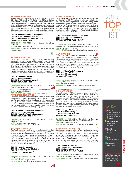| <b>THE MARKETING ARM</b><br>This Top Shop churns out award-winning programs, including two<br>2014 Gold PRO Awards for "Be the Fan" for AT&T and "Doritos<br>& Mountain Dew: Every 2 Minutes" for Frito-Lay and PepsiCo.<br>Launched the Event Performance Indicator tool, a predictive valu-<br>ation modeling system for experiential planning or post-experience<br>measurement for actual ROI. Strengthened digital capabilities with<br>the acquisition of Fanscape, a social media marketing agency with<br>15 years of experience helping clients reach and activate consum-<br>ers and influencers to foster positive word-of-mouth sentiment.<br><b>CORE 1: Promotion Planning/Development</b><br><b>CORE 2: Event/Experiential Marketing</b><br><b>CORE 3: Sponsorship Activation/Marketing</b><br>REVENUE SPLIT: 100% B2C<br><b>CLIENTS INCLUDE:</b> AT&T, Frito-Lay, Bacardi, GameStop, | <b>MARKETING WERKS</b><br>The big news here is that last September, Marketing Werks was<br>acquired by CROSSMARK, a leading sales and marketing ser-<br>vices company. MW was part of the 2014 award-winning Hostess<br>"Prepare Your Cakeface" street marketing campaign-a Silver EX<br>Award winner. To create buzz around the re-launch of Hostess,<br>the two-week long teaser campaign and cross-country food truck<br>tour had consumers preparing their cakefaces. The campaign<br>launched on the Today Show, with Al Roker, Twinkie the Kid and<br>a helicopter delivering the first Twinkie live, on air.<br><b>CORE 1: Sponsorship Activation/Marketing</b><br><b>CORE 2: Retail (in-store) Marketing</b><br><b>CORE 3: Event/Experiential Marketing</b><br><b>REVENUE SPLIT: 98% B2C, 2% B2B</b>                                                                                  |                                                                                                |
|-----------------------------------------------------------------------------------------------------------------------------------------------------------------------------------------------------------------------------------------------------------------------------------------------------------------------------------------------------------------------------------------------------------------------------------------------------------------------------------------------------------------------------------------------------------------------------------------------------------------------------------------------------------------------------------------------------------------------------------------------------------------------------------------------------------------------------------------------------------------------------------------------------|-----------------------------------------------------------------------------------------------------------------------------------------------------------------------------------------------------------------------------------------------------------------------------------------------------------------------------------------------------------------------------------------------------------------------------------------------------------------------------------------------------------------------------------------------------------------------------------------------------------------------------------------------------------------------------------------------------------------------------------------------------------------------------------------------------------------------------------------------------------------------------------------------|------------------------------------------------------------------------------------------------|
| State Farm<br><b>WEB:</b> www.themarketingarm.com<br><b>RFP CONTACT:</b> Nikki Vandepopulier, nvandepopulier@themar-<br>ketingarm.com                                                                                                                                                                                                                                                                                                                                                                                                                                                                                                                                                                                                                                                                                                                                                               | <b>CLIENTS INCLUDE:</b> Walgreens Balance Rewards, Cause<br>Marketing, Verizon Wireless, Hostess, Char-Broil, Hills Pet Nutrition<br><b>WEB:</b> www.marketingwerks.com<br>RFP CONTACT: Jay Lenstrom, jlenstrom@marketingwerks.com                                                                                                                                                                                                                                                                                                                                                                                                                                                                                                                                                                                                                                                            |                                                                                                |
| 빤<br><b>THE MARKETING LAB</b><br>Ran a killer tour for Land O' Lakes to drive awareness and<br>penetration in key markets, while combating well-funded<br>competitors. The seven-week "Grilled Cheese" tour dished up<br>68,000 samples, distributed 72,000 coupons and drove volume<br>lift as high as 50%. Established MarketingLab Health to aid health<br>care providers, product manufacturers and payers market to<br>consumers shopping for health care. Continues to expand digital<br>capabilities with the hiring of full-timers and building relationships<br>with development firms with firm understandings of promotion.<br><b>CORE 1: Promotional Marketing</b><br><b>CORE 2: Shopper Marketing</b><br><b>CORE 3: Event/Experiential Marketing</b><br><b>REVENUE SPLIT: 100% B2C</b><br><b>CLIENTS INCLUDE:</b> Land O' Lakes, Western Union, Bellisio                               | (O)<br><b>MARKETVISION</b><br>This Top Shop moves brands into the hearts and carts of Latino<br>consumers by uncovering actionable shopper insights,<br>influencing consumer and shopper behavior along the purchase<br>journey and by collaborating with retail and brand marketers.<br>Works with digital partner SWEB to identify digital and mobile<br>solutions. Watch for a revamp of MarketVision's public face to<br>highlight culture-based work. Agency leadership can be found<br>kickboxing and RV'ing in their spare time.<br><b>CORE 1: CPG and Trade Promotions</b><br><b>CORE 2: Shopper Marketing</b><br><b>CORE 3: Shopper Marketing</b><br><b>REVENUE SPLIT: 100% B2C</b><br><b>CLIENTS INCLUDE:</b> MillerCoors, Kraft Foods, ConAgra Foods,<br>Hershey, J.M. Smucker Co.<br><b>WEB: www.mvculture.com</b><br><b>RFP CONTACT:</b> Norma Casillas, ncasillas@mvculture.com |                                                                                                |
| Foods, Delta Faucets, Honeywell<br>22<br>WEB: www.marktinglab.com<br><b>RFP CONTACT:</b> Mark Lenss, mark@marketinglab.com<br><b>MARKETING RESOURCES</b><br>A master at making online and offline work in sync. Take the "Pepsi<br>49ers Gold Rush" promo that seeded specially marked "golden<br>cans" throughout the San Francisco Bay area with the chance to<br>win big. Non-winners were driven online for a chance to win one<br>of 4,949 time-seeded instant-win prizes. Extra prizes were distrib-<br>uted via social, which drove lots of social buzz. Sound like a win,<br>win for all. Epic battles storm the ping-pong arena.                                                                                                                                                                                                                                                           | <b>THE MARS AGENCY</b><br>An indie founded in 1972 that leverages shopper insights to churn<br>out results for clients. Take the promo for Chobani who wanted to<br>bring new users into the Greek yogurt category using its Olympic<br>sponsorship and the shopper insight that there's an Olympic spirit<br>in all of us. Team USA athletes eat Chobani while training, includ-<br>ing snowboarder Lindsey Jacobellis, who appeared in visuals.<br>Campaign elements closed the sale with the direct call to action<br>of "It's in Lindsey's Fridge, Add it to Yours." Participating stores<br>outperformed non-participating stores.                                                                                                                                                                                                                                                       | Icon Key                                                                                       |
| <b>CORE 1: Games, Contests and Sweepstakes</b><br><b>CORE 2: Interactive Marketing</b><br><b>CORE 3: Promotion Planning/Development</b><br><b>REVENUE SPLIT: 60% B2C, 40% B2B</b>                                                                                                                                                                                                                                                                                                                                                                                                                                                                                                                                                                                                                                                                                                                   | <b>CORE 1: Shopper Marketing</b><br><b>CORE 2: Retail Marketing</b><br><b>CORE 3: Partnership Marketing</b><br><b>REVENUE SPLIT: 100% B2C</b>                                                                                                                                                                                                                                                                                                                                                                                                                                                                                                                                                                                                                                                                                                                                                 | <b>Bulls Eye</b><br>Specialties targeting<br>African Americans,<br><b>Hispanics or College</b> |

CLIENTS INCLUDE: PepsiCo, US Bank, BBDO, Driscoll's, MRM//McCann WEB: www.marketingresources.com

**RFP CONTACT:** Mike Kida, mkida@marketingresources.com

#### THE MARKETING STORE

This Top Shop made headlines with its McDonald's World Cup program and its concept of reaching Millennials by bringing McDonald's iconic fry box to life with art from around the world that would launched an AR experience. With an execution of 1 billion packaging pieces worldwide, it was the largest global digital promotion in McDonald's history. It also cracked the code on production and engineering with the Moto-X Interactive insert in Wired Magazine in December and expanded offerings in thought leadership in the areas of family marketing and loyalty.

#### CORE 1: Promotion Marketing CORE 2: Loyalty/Retention Marketing CORE 3: Interactive Marketing REVENUE SPLIT: 100% B2C

CLIENTS INCLUDE: McDonald's, Nissan/Infiniti, L'Oreal, Minute Maid, Discover WEB: www.themarketingstore.com RFP CONTACT: Chris Hess, chris.hess@tmsw.com

#### MASTERMIND MARKETING

WEB: www.themarsagency.com

Developed a mobile promotion platform that allows marketers to engage consumers at retail locations and reward them via credit cards and/or loyalty cards. Added a CTO position that oversees development, as well as new and emerging technology/platforms that can be leveraged by clients. Expanded its multi-signal search offering. A killer promo for BMW, "See The Difference "taught consumers about the optional premium Harman/Kardon audio systems in BMWs via an AR mobile app that drove significant ROI.

CLIENTS INCLUDE: Walmart, Campbell Soup Co., Pfizer Consumer Healthcare, Clorox Co., Colgate-Palmolive

RFP CONTACT: Rob Rivenburgh, rivenburghr@themarsagency.com

#### CORE 1: Interactive Marketing CORE 2: Mobile (wireless) Marketing CORE 3: Influencer Programs REVENUE SPLIT: 90% B2C, 10% B2B

23

CLIENTS INCLUDE: Citi, Bayer, Harley-Davidson, Harman, BMW WEB: www.mastermindmarketing.com RFP CONTACT: Dan Dodson, dan.dodson@mastermindmarketing.com

argeting icans College Students

Pro Award Winner Won a 2014 PRO Award

**New Kids** New to the list this year

**III** Indie Independent shops

International Global reach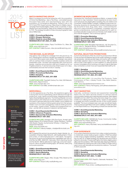# LIST 2015 **TOP** PROMO **Shops**

#### MATCH MARKETING GROUP

Match increased promotional expertise with the acquisition of Circle One Marketing—also a Top Shop—and added several thousand field sales and merchandising reps with the acquisition of Convergence Marketing. Played a role in the 2014 Gold PRO Award-winning "Marooned on Malibu Island" campaign that included digital, mobile, social, on premise, in-store displays and merchandising. Sales at key retailers increased 6% to 15%. The strategy focused on three core psychographic traits about Millennials.

#### CORE 1: Promotional Marketing CORE 2: Shopper Marketing CORE 3: Retail (in-store) Marketing REVENUE SPLIT: 95% B2C, 5% B2B

CLIENTS INCLUDE: Adidas, Pepsi, Ford Motor Co., Mars, Bic WEB: www.matchmg.com

RFP CONTACT: Mike Duncan, mike.duncan@matchmg.com

#### THE MICHAEL ALAN GROUP

This agency has undergone a redesign from the ground up. Its NYC headquarters received a facelift and additional conference rooms and office space were added. The redesign was paired with an overhaul of the company's website, business cards and presentation style. The team was expanded with more account people, creatives and production staff and it beefed up its Los Angeles presence. A carnival-size prize wheel is spun on b-days, anniversaries and even the humdrum Tuesday.

CORE 1: Event/Experiential Marketing CORE 2: Promotional Marketing CORE 3: Sampling REVENUE SPLIT: 70% B2C, 30% B2B

CLIENTS INCLUDE: Twentieth Century Fox, Intel, USA Network, McDonald's, Bigcommerce WEB: www.michael-alan.com RFP CONTACT: Erin Mills, erin@michael-alan.com

#### **MIRRORBALL**

In its first appearance as a Top Shop, this experience agency has a strong track record of generating cultural relevance through the worlds of art, music, fashion and technology, integrating brands into highly influential lifestyle segments. The Dos Equis Bazaar noir event series hosted 5,000 influencers at soirees cloaked in secrecy and shrouded in darkness featuring worldly oddities, exotic edibles and wanderers of the shadows that led guests astray from their groups. Hidden rooms and dark passageways made for fertile ground for social media—guests posted, Tweeted and Instagrammed nonstop—and left with an arsenal of material to tell their peers.

#### CORE 1: Event/Experiential Marketing CORE 2: Influencer Programs CORE 3: Sponsorship Activation/Marketing REVENUE SPLIT: 100% B2C

**CLIENTS INCLUDE:** Heineken USA (Dos Equis, Amstel Light), Nestlé Waters US & Global (Perrier), Harley Davidson, Campari USA (Esplòn Tequila, Auchentoshan Whisky), L'Oréal Paris (Advanced Haircare) WEB: www.mirrorball.com

RFP CONTACT: Mandy Kalajian, mkalajian@mirrorball.com

#### **MKTG**

MKTG agreed this spring to be acquired by Aegis Lifestyle, Inc., a subsidiary of Dentsu Aegis Network, with headquarters in Tokyo and London, 37,000 employees and 11,000 clients. The agency has grown its sports and entertainment capabilities with new clients like the NBA, NASCAR, Gatorade, Dick's Sporting Goods and the NCAA. MKTG delivered an eight-day consumer experience for Yahoo at SXSW including apps, VIP dinners, beer pong and purple popsicles.

CORE 1: Event/Experiential Marketing CORE 2: Retail (in-store) Marketing CORE 3: Sports Marketing REVENUE SPLIT: 100% B2C

CLIENTS INCLUDE: Diageo, Nike, Google, P&G, Beats by Dre WEB: www.mktg.com RFP CONTACT: Bryan Duffy, bduffy@mktg.com

#### MOMENTUM WORLDWIDE

Developed the Total Brand Experience Matrix, a research/data resource to map marketers' brand experience at every touch point (physical and digital alike) revealing they are relative and connected. Added Retailer Foresight, intelligence resources outlining key dynamics for development of brand initiatives across top accounts for food, drug, mass, value, c-store and beyond. Also put in place Activation Compasses, a strategic resource giving comprehensive, actionable perspective on path-topurchase activation tools (in and out of stores), both retailer-owned and channel-targeted. This is one busy agency!

#### CORE 1: Promotion Marketing

#### CORE 2: Event/Experiential Marketing CORE 3: Sponsorship Activation/Marketing REVENUE SPLIT: 100% B2C

CLIENTS INCLUDE: Mondelez International, J.M. Smucker Co., Coca-Cola Co., Benjamin Moore, Constellation Brands WEB: www.momentumww.com

RFP CONTACT: Bill Burnes, bill.burnes@momentumww.com

#### NATURAL SELECTION PROMOTIONS

A promo for the launch of the I & Love & You product line in Whole Foods and Sprouts Markets tied social media marketing to doggie day giveaways, sample goodie bags and events with local animal shelter adoption days in front of the stores. NSP partnered with an East Coast agency to work together on national natural product campaigns and is working on an app to help its field reps stay connected, a smart move as it expanded field staff by 50.

CORE 1: Sampling CORE 2: Event/Experiential Marketing CORE 3: Promotion Planning/Development REVENUE SPLIT: 75% B2C, 25% B2B

CLIENTS INCLUDE: I & Love &You Pet Products, Trade Commission of Peru, Lifeway Foods, Ciao Bella Gelatos, CLIF Bar & Co. WEB: www.naturalselectionpromotions.com

RFP CONTACT: Penny Hemingway, penny@naturalselectionpromotions.com

#### NEXT MARKETING



Internally, combined channel and experiential marketing teams into one client services division to remove internal communication barriers and maximize best practices. Next helped GSD&M and the USAF Recruiting Services stage four unique mobile tours offering technology-driven, hands-on experiences to engage and inform potential recruits of the myriad careers available. The tours increased year-over-year recruitment leads. That success brought Next more work: building a mobile simulator for the Rapid Strike tour. Wing eating contests are standard fare.

CORE 1: Event/Experiential Marketing CORE 2: Sampling CORE 3: Sponsorship Activation/Marketing REVENUE SPLIT: 44% B2C, 56% B2B

CLIENTS INCLUDE: GSD&M (Air Force), Community Coffee, Continental Tire, Polaris, MetroPCS WEB: www.nextmarketing.com

RFP CONTACT: Henry Rischitelli, henry.rischitelli@nextmarketing.com

#### PGW EXPERIENCE

From potent interactive and short-form video content production, to charismatic social media program creation, PGW has added a wide range of digital marketing capabilities. Add the onboarding of a new VP of digital strategy and development and PGW is poised to dominate. A newly built highly informative digital system offers real-time analytics. With Gatorade sales slipping at Walmart, PGW blasted into parking lots with a full on fleet of mobile units to reach moms with samples and social photo stations. The result? A 300% brand lift.

CORE 1: Event/Experiential Marketing CORE 2: Sampling CORE 3: Sponsorship Activation/Marketing REVENUE SPLIT: 99% B2C, 1% B2B

CLIENTS INCLUDE: AT&T, PepsiCo, Gatorade, Havaianas, Time Warner Cable WEB: www.pgwexperience.com

RFP CONTACT: Russ Jones, russ@pgwexperience.com

## Icon Key

Bulls Eye Specialties targeting African Americans, Hispanics or College **Students** 

Pro Award Winner Won a 2014 PRO Award



**WIN** Indie Independent shops

International Global reach

TOP SHOPS

**SHOPS**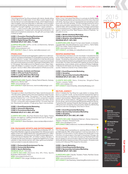凹

#### POWERPACT

This entrepreneurial Top Shop embeds with clients, literally sitting at their offices on a daily basis. It now offers custom apps to tap into the device in an event attendee's hands, which helped reduce client budgets, improved attendee-to-attendee communication (and event staff) sharing, facilitated surveys and real-time Q&As. PowerPact brought together LG and the #1 recipe software — Cook'n — with a yummy offer: free software with purchase of a cooking appliance. Coupled with cooking demonstrations, LG tablet and smartphone extensions, this gift with purchase really cooked up sales.

CLIENTS INCLUDE: GoPro, LG Ad, LG Electronics, Sempra Energy, Susan G. Komen WEB: www.powerpact.com RFP CONTACT: Stacy A. Sarna, ssarna@powerpact.com

#### PRIZELOGIC

Developed promotional social aggregation platforms so client promotions can feature #hashtags on social platforms as entry points, allowing clients to "scrape" user's entries from their favorite social sites. Launched ecommerce capabilities to support promotional executions that require a purchase. Expanded overall staff by 35% to 150 people. Ran a killer promo for PepsiCo (Lay's, Pepsi, Gatorade) with Meijer in a season-long NFL exclusive custom loyalty program. Some 2 million offers were loaded to mPerks accounts.

CORE 1: Games, Contests and Sweeps CORE 2: CPG and Trade Promotions CORE 3: Loyalty/Retention Marketing REVENUE SPLIT: 60% B2C, 40% B2B

CLIENTS INCLUDE: PepsiCo, Disney Parks & Resorts, Subway, MillerCoors, Morton Salt WEB: www.prizelogic.com

RFP CONTACT: Keith Simmons, ksimmons@prizelogic.com

#### PRO MOTION

This agency's client, Duck Brand Duct Tape, had introduced over 100 new prints, patterns and colors and wanted to reach its new customer base, the Crafter. The solution? The "Duck Tape Rolls Across America Tour," a 31-foot RV where consumers created their own Duck Tape creations that stopped in 80 cities. Some 76,000+ consumers were engaged during 176 event days (so far). Revamped its website. A huge gong rings in new business.

CORE 1: Event/Experiential Marketing CORE 2: Interactive Marketing CORE 3: Promotional Marketing REVENUE SPLIT: 81% B2C, 29% B2B

CLIENTS INCLUDE: ShurTech Brands (Duck Tape), Fiskars Brands, bvk (agency), Uplifting Entertainment (UpTV), Bomgar WEB: www.promotion1.com

RFP CONTACT: Steve Randazzo, steve.randazzo@promotion1. com

PSE-PACKAGED SPORTS AND ENTERTAINMENT This small indie has big ideas, like the EA Sports Madden NFL 25 Pepsi Max/Madden Legends sweepstakes that offered exclusive digital content and digital distribution that generated 201 million media impressions. And the promo for GMC of a free digital download of EA Sports Madden NFL 25 Edition of Barry Sanders: A Football Life with every test drive. Created the Digital Promo Codes website to help brands partner with video game and entertain-

| <b>CORE 1: Partnership/Entertainment Tie-Ins</b> |
|--------------------------------------------------|
| <b>CORE 2: Partnership Marketing</b>             |
| <b>CORE 3: Sports Marketing</b>                  |
| <b>REVENUE SPLIT: 100% B2C</b>                   |

ment providers to execute retail promos.

CLIENTS INCLUDE: Electronic Arts, NFL Films, Sports Illustrated, McDonald's, Pepsi WEB: www.psepromotions.com RFP CONACT: Kirk Langer, kirk@pse-promo.com

#### RED MOON MARKETING

When Coca-Cola asked Red Moon to activate its NHRA Mello Yello Drag Racing Series sponsorship around the citrus-flavored soft drink, the focus was on experiential and sampling at each event with 400,000 samples, 32,000 branded premiums and a drag racing simulator experienced by 18,000 fans. It also activated at retail, with local bottlers and other strategic partnerships for a successful promo. Creative director Tracy Morgan joined the agency, named one of the "Best Places to Work in Charlotte," for six years in a row.

CORE 1: Mobile (wireless) Marketing CORE 2: Sponsorship Activation/Marketing CORE 3: Retail (in-store) Marketing REVENUE SPLIT: 100% B2C

CLIENTS INCLUDE: Brown Forman (Jack Daniel's, el Jimador, Canadian Mist, Woodford Reserve), Coca-Cola Co., Harris Teeter, MTD/Cub Cadet, Huber Engineered Woods WEB: www.redmoonmkt.com

RFP CONACT: Jim Bailey, jim.bailey@redmoonmkt.com

#### REDPEG MARKETING

This indie shop marches to its own drumbeat. It doubled the size of its creative department to stay razor sharp on innovation and design. Developing interactive dashboards to highlight results and use predictive analytics to anticipate future results using historical data. Put Geico and NASCAR together at races for player appearances, trivia contests, photo ops and a Pit Stop Challenge. Collected 25,000 leads over 28 days that lead to 313 inquiries for quotes. Added an arsenal of top creative talent.

#### CORE 1: Event/Experiential Marketing CORE 2: Sampling CORE 3: Sponsorship Activation/Marketing REVENUE SPLIT: 85% B2C, 15% B2B

CLIENTS INCLUDE: Geico, Enterprise, Slingshot/Texas Tourism, Lavazza, Twitter WEB: www.redpeg.com RFP CONACT: David Shackley, dshackley@redpeg.com

#### RE:FUEL AGENCY

DDon't mistake this Top Shop for a gas station or energy drink. Now in a growth mode, re:fuel acquired experiential agency Brite Promotions and significantly increased staff in all areas to support new business. Helped stage an event for a Gillette razor launch with 32 shave stations, 280 guests and 189 gift bags with thumb drives, razors and shave gel (69 people tested the razors). Pushed the DVD Jackass Presents: Bad Grandpa, with "grandpas" rolling around in shopping carts at hockey stadiums distributing premiums with the messaging "DVD Now in Store."

CORE 1: Event/Experiential Marketing CORE 2: Sponsorship Activation/Marketing CORE 3: Sampling REVENUE SPLIT: 20% B2C, 80% B2B

CLIENTS INCLUDE: MediaVest/Walmart, Disney Interactive, Tabasco, Amazon, Pinnacle Foods WEB: www.refuelagency.com

RFP CONACT: Mike Underwood, munderwood@refuelagency.com

#### **REVOLUTION**

This Chicago shop is spreading out, opening offices in Detroit, MI and Minneapolis, MN, while investing in more top executives. For Red Bull, it constructed a 10,000-square-foot skate park on the 23rd floor of a skyscraper in the heart of downtown Chicago. By the second week, so many fans showed up Red Bull had to ask the pro skaters to remove location data from their social channels. Along with all the massive success of the program, rEvolution took home a 2014 Bronze PRO Award for the event.

#### CORE 1: Sports Marketing CORE 2: Event/Experiential Marketing CORE 3: Sponsorship Activation/Marketing REVENUE SPLIT: 100% B2C

CLIENTS INCLUDE: Chipotle, Travelers, Polaris, Red Bull, Goose Island/Anheuser-Busch WEB: www.revolutionworld.com RFP CONACT: Dan Eisenberg, Deisenberg@revolutionworld.com



# Icon Key

Bulls Eye Specialties targeting African Americans, Hispanics or College **Students** 

Pro Award Winner Won a 2014 PRO Award

New Kids New to the list this year

**AUN** Indie Independent shops

International Global reach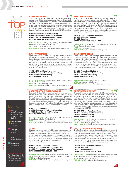#### RUBIK MARKETING

This Top Shop now offers extensive social media programs with every experiential campaign including mobile tour microsites with integrated GPS tracking devices, custom Twitter handles and a dedicated social media feed team. Expertise in engaging kids in creative play and educational games led to the start of a dedicated subdivision—Rubik Kids. Kids that stopped by Rubik's Smurfs pop-up village for Sony Pictures got a front row screening of "The Smurfs 2" trailer and a speedy ride down the Eiffel Tower Slide.

#### CORE 1: Event/Experiential Marketing CORE 2: Sponsorship Activation/Marketing CORE 3: Partnership/Entertainment Tie-Ins REVENUE SPLIT: 80% B2C, 20% B2B

CLIENTS INCLUDE: Disney, Sony Pictures, Roll Global-Wonderful Pistachios, 20th Century Fox, H.J. Heinz WEB: www.rubikmarketing.com RFP CONACT: Danielle Zotter, dzotter@rubikmarketing.com

#### RYAN PARTNERSHIP

Ryan, a division of Epsilon, has deep roots in data, customer insights and technology platforms to build robust customer profiles and focused strategies for each step of the customer journey. A cutting-edge campaign for Perrier put iconic words and Andy Warhol artwork on bottles, in stores and online, inspiring shoppers to "Take Home a Warhol." The result? A 6% lift in sales. A focus on strategic planning capabilities and a centralized strategy team help shape client solutions.

CORE 1: CPG and Trade Promotions CORE 2: Promotion Creative Concept/Design CORE 3: Interactive Marketing REVENUE SPLIT: 100% B2C

CLIENTS INCLUDE: Unilever, Nestlé Waters, Bacardi USA, Darden Restaurants GlaxoSmithKline WEB: www.ryanpartnership.com

RFP CONACT: Richard McDonald, Richard.mcdonald@epsilon.com

#### SCOUT SPORTS & ENTERTAINMENT

CORE 2: Sponsorship Activation/Marketing CORE 3: Event/Experiential Marketing REVENUE SPLIT: 100% B2C

WEB: www.horizonmedia.com/entrepreneurial/scout RFP CONACT: Michael Neuman, mneuman@scoutsande.com

Driving client IQ on ROI and measurement is at the core of everything Scout does. Comprehensive strategies—using proprietary tools Scouting Report and Scorecard—are developed and customized for each client. The Eventscope service combines event feedback, sponsorship impact, audience profiling and social media conversion into on actionable report for promotional activations. Scout, the activation arm of Horizon Media, inked 61 deals in the past 12 months with 21 being new properties. Go team!

Slant is a new agency spun off of Marketing Resources last year. Chris McGuire took the reins as VP and general manager. Innovation and the development of new technologies are what's going on under the roof of this Top Shop, like its proprietary Facebook app to run mobile-friendly promos of Facebook. A Facebook contest had 10 designers design a faceplate for the Bernina 350 Special Edition sewing machine and let people vote for their favorite to

CLIENTS INCLUDE: Geico, Burger King, Southern California

CLIENTS INCLUDE: Harley Davidson Financial Services, US Bank, Auto Club of Southern California, Bernina, Raising Cane's

RFP CONACT: Chris McGuire, cmcguire@slantmarketing.com

## Icon Key

Bulls Eye Specialties targeting African Americans, Hispanics or College **Students** 

LIST

2015

PROMO

**TOP** 

**Shops** 

Pro Award Winner Won a 2014 PRO Award

New Kids New to the list this year

TOP SHOPS

OP SHOPS

**Indie** Independent shops SLANT

win a machine of their own.

CORE 1: Sports Marketing

Honda Dealers, Spike, Jack in the Box

WEB: www.slantmarketing.com

CORE 1: Games, Contests and Sweeps CORE 2: Promotion Creative Concept/Design CORE 3: Promotional Planning/Development REVENUE SPLIT: 70% B2C, 30% B2B

International Global reach

## Read all about one of this agency's killer promotions

## by turning to the page number in the red flag.

## SOHO EXPERIENTIAL

This Top Shop specializes in identifying brand advocates using new technology and awesome people. Grew staff by 33% and doubled its office space while adding new clients in the financial, electronic gaming and media segments. Worked with Bravo for a launch event for the fifth season of "Top Chef Masters" featuring seven Top Chef Masters, the world's largest kitchen party with a red carpet entry, full-service bars and music. The event sold out in less than two minutes—300 tickets at \$100 each. Delivers custom holiday cards every year: a client and vendor favorite!

CORE 1: Event/Experiential Marketing CORE 2: Influencer Programs CORE 3: Sampling REVENUE SPLIT: 95% B2C, 5% B2B

CLIENTS INCLUDE: Remy Cointreau USA, Edrington Americas, Bravo, Citibank, Electronic Arts WEB: www.sohoexp.com RFP CONACT: Kate Kelley, kate@sohoexp.com

#### SOURCE MARKETING

Chase United Airlines cardholders got special treatment over the holidays at the VIP lounges Source popped up at upscale malls in United hub markets with free gift wrapping and bag checks. Building proprietary tools using social, behavorial and biz sciences to foster long-term brand loyalty. Kersten Rivas joined as president from managing director for Havas Worldwide NY. John Dunn joined—after a 10-year run with HBO—to grow the newly formed sports and entertainment division. Its softball team is AWESOME!

CORE 1: Promotional Marketing CORE 2: Event/Experiential Marketing CORE 3: Interactive Marketing REVENUE SPLIT: 90% B2C

CLIENTS INCLUDE: BIC Consumer Products WEB: www.source-marketing.com RFP CONACT: Mark Toner, toner@source-marketing.com

#### THE STRATEGIC AGENCY

24

ģi



WŅ

This boutique agency with a serious foothold in sports and entertainment has increased staff, moved into a new office, expanded social and digital media capabilities and executed a campaign highlighting the new agency logo/identity, website, and new account wins. Ran a killer promo for Under Armour at Grand Central Terminal to launch the new Speedform Apollo running shoe line. Put together a partnership between client Labatt and USA Hockey to stage Labatt-sponsored local pond hockey tournaments across the country. (Passed Bud Light in in-arena sales in key markets: SCORE!)

CORE 1: CPG and Trade Promotions CORE 2: Event/Experiential Marketing CORE 3: Sports Marketing REVENUE SPLIT: 100% B2C

CLIENTS INCLUDE: North American Breweries, Under Armour, Constellation, New York Life, Starter (Iconix) WEB: www.thestrategicagency.com RFP CONACT: Dave Beck, dbeck@thestrategicagency.com

#### SWITCH LIBERATE YOUR BRAND

This Top Shop added Crimson Hexagon, Experian Simmons and Qualtrics for a deeper dive into consumer insights, including social trends and sentiment for better program and promo development. Designed, built and manned a 53-foot "Yellow Submarine" float for a Mardi Gras parade. Won a 2014 Silver PRO Award for the "Budweiser Mobile Brewmaster Tour" that paid homage to the brand's 7-step, 30-day brewing process via a 48-foot trailer with five brewing zones. Must be time to pop open a cold one!

CORE 1: Event/Experiential Marketing CORE 2: Sampling CORE 3: Sales Promotion REVENUE SPLIT: 95% B2C, 5% B2B

CLIENTS INCLUDE: Anheuser-Busch Inbev, Coca-Cola North America, Primerica, 5 Hour Energy, Ascension Health WEB: www.liberateyourbrand.com RFP CONACT: Chris Jobst, chrisj@theswitch.us

25

빤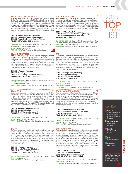TEAM DIGITAL PROMOTIONS This year, teamDigital and Project Support Team became team-Digital Promotions to simplify its identity with a focus on digital marketing. Also partnered with Offerpop to leverage its digital marketing platform. These promotion experts combine decades of experience as evidenced by the "Xfinity Watchathon" where Comcast subscribers could binge-view their favorite shows with incentives like Caribbean Pirate Excursions and home entertainment systems that drove a 48% entry conversion. Dog lovers work here.

#### CORE 1: Games, Sweeps and Contests CORE 2: Promotion Planning/Development CORE 3: Promotion Creative Concept/Design REVENUE SPLIT: 70% B2C, 30% B2B

CLIENTS INCLUDE: MasterCard, NFL, Comcast XFINITY, The Weather Channel, The Marketing Arm WEB: www.teamdigital.com RFP CONACT: Patty Ryan, pryan@teamdigital.com

#### TEAM ENTERPRISES

This 25-year-young shop likes the nightlife, staging events and experiences for alcohol brands like Bacardi and MillerCoors, as well as summer events for Sparkling Ice and sports campaigns for US Cellular. An update to its proprietary event-management system allows field reps to upload photo, video and copy from activations. Team's full suite of digital services integrates its fieldwork with Tumblr, targeted emails, branded websites and other online mediums. Free lunch on Mondays!

CORE 1: Influencer Programs CORE 2: Sampling CORE 3: Sponsorship Activation/Marketing REVENUE SPLIT: 90% B2C, 10% B2B

CLIENTS INCLUDE: Sparkling Ice, US Cellular, Bacardi USA, MillerCoors, Volkswagen WEB: http://teament.com

RFP CONACT: Michael Shea, mshea@teamenterprises.com

#### TEAM EPIC

Epic's creative prowess—and depth sponsorship and lifestyle marketing—was on full view during Super Bowl XLVIII when it supported 11 NFL sponsor brands, including nine different programs on Super Bowl Boulevard. Overhauled digital, including hiring Gavin Blawie of Coca-Cola and Oreo fame; elevated B2B work and gained expansive global resources when its parent company was acquired by Dentsu. Won a 2014 PRO Award for its Duracell NFL—Derrick Coleman "Trust Your Power" promo.

#### CORE 1: Sports Activation/Marketing CORE 2: Sports Marketing CORE 3: Event/Experiential Marketing REVENUE SPLIT: 95% B2C, 5% B2B

CLIENTS INCLUDE: AT&T, Toyota, Mars, P&G, FedEx WEB: www.anepiccompany.com RFP CONACT: Mike Reisman, mike.reisman@anepiccompany.com

#### TIC TOC

Tic Toc implemented e-codes and digital rewards as incentives and has adopted digital processes such as digital receipt verification and peer-to-peer digital recognition to position clients as leading-edge marketers. Entered into an agreement to deliver in-country award fulfillment in 70+ countries in 16 languages. Specialized social/digital services include a photo contest engine, augmented reality and app development. For those not in the know, Tic Toc is an acronym for The Imagination Company, Tomorrow's Original Concepts.

CORE 1: Influencer Programs CORE 2: Loyalty/Retention Marketing CORE 3: Promotional Marketing REVENUE SPLIT: 75% B2C, 25% B2B

CLIENTS INCLUDE: Shell, 7-Eleven, Omni Hotels, Nokia, Nutella WEB: www.tictoc.com RFP CONACT: Paul Gittemeier, paulg@tictoc.com

#### TIPTON & MAGLIONE

An increase in staff to better service clients and a restructuring of internal systems to ensure efficient procedures keeps this shop humming. It expanded B2B services with trade show design, corporate branding and B2B collateral development. The national mobile marketing and sampling tour, "On the Road with Cassillero Wine" traveled for 10 weeks via two 36-foot RVs making stops at grocery and chain liquor store parking lots. Sampling was brisk.

CORE 1: CPG and Trade Promotions CORE 2: Promotion Creative Concept/Design CORE 3: Event/Experiential Marketing REVENUE SPLIT: 100% B2C

CLIENTS INCLUDE: Canon USA, Thompson's Water Seal, Paesana Pasta Sauce, Mezzacorona Wine, Green Giant Fresh WEB: www.tiptonandmaglione.com

RFP CONACT: Martin Maglione, martin@tiptonandmaglione.com

TPN This well-oiled machine likes to say it "reimagines retail," as evidenced by its 2014 PRO Award-winning program, "Liquid-Plumr Scores In-store with Hunky Plumrs." Floor talkers designed with the torso and legs of a hot Plumr led shopper's eyes to where Liquid-Plumr is shelved. A color-coded guide helped her find the right product for the problem. A new managing director at the Bentonville office further entrenches its Walmart relationship. A new deal with GroundCntrl, a mobile data/analytics platform, provides tools for real-time analytics.

#### CORE 1: Retail (in-store) Marketing CORE 2: Shopper Marketing CORE 3: Promotional Marketing REVENUE SPLIT: 100% B2C

CLIENTS INCLUDE: 7-Eleven, Bank of America, Clorox Co., Hershey Co., Safeway WEB: www.tpnretail.com RFP CONACT: Liz Schwab, liz\_schwab@tpnretail.com

#### TRACK MARKETING GROUP

An in-house network of social media influencers and celebrities can be quickly tapped for clients. Take the development of a premium gifting device and social influencer strategy to introduce the House of Marnier Lapostolle's new spirit, GM Titanium, to key influencers and celebs across five major test markets, who in turn shared their experiences with the brand. Now offers full creative services—brand identity, packaging design, traditional print and digital media.

CORE 1: Event/Experiential Marketing CORE 2: Sponsorship Activation/Marketing CORE 3: Influencer Programs REVENUE SPLIT: 95% B2C, 5% B2B

CLIENTS INCLUDE: PepsiCo, Beats Music, Grand Marnier, Brownie Brittle, Latinworks WEB: www.trackmarketing.net RFP CONACT: Alex Frias, alex@trackmarketing.net

#### TRCO MARKETING

TRCo Marketing is a global leader in providing and managing lifestyle reward promotions for the world's biggest brands. TRCo's unique model is based on rewarding every consumer within a promotion, as opposed to sweepstakes, by leveraging a nationwide networks of reward partners that offer high-value experiences for a fraction of their market cost. Popular rewards include free Beauty Treatments, Concert and Movie Tickets, Dining Experiences, Theme Park Entrance, Personal Training Sessions and more. Versatile with their campaign mechanics, TRCo has streamlined the customer experience by using mobile receipt scanning technology to validate purchase and issue rewards automatically.

CORE 1: Sales Promotion CORE 2: Promotional Marketing CORE 3: Loyalty/Retention Marketing REVENUE SPLIT: 80% B2C, 20% B2B

CLIENTS INCLUDE: Intel Corp., Luxottica, L'Oreal, Unilever WEB: www.trcoworld.com RFP CONACT: Andrew Mockridge, mockridge@trcoworld.com



## Icon Key

Bulls Eye Specialties targeting African Americans, Hispanics or College **Students** 

Pro Award Winner Won a 2014 PRO Award

**New Kids** New to the list this year

**AUN** Indie Independent shops

International Global reach